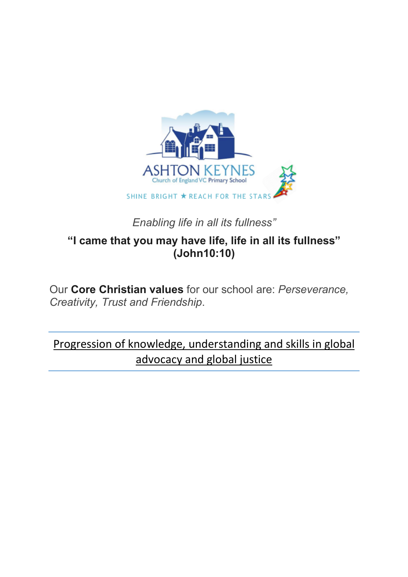

## *Enabling life in all its fullness"*

## **"I came that you may have life, life in all its fullness" (John10:10)**

Our **Core Christian values** for our school are: *Perseverance, Creativity, Trust and Friendship*.

Progression of knowledge, understanding and skills in global advocacy and global justice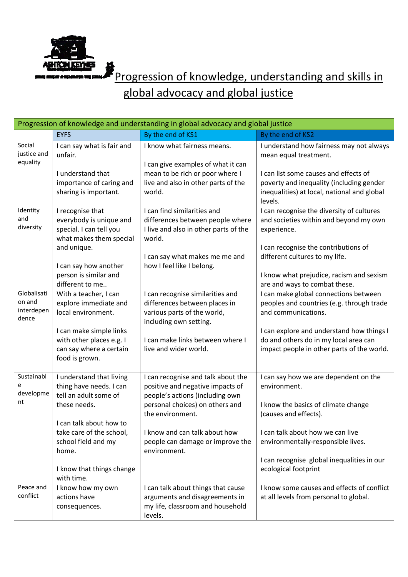

**FORD PROGRESSION OF KNOWLEDGE, understanding and skills in** 

global advocacy and global justice

| Progression of knowledge and understanding in global advocacy and global justice |                                                                                                   |                                                                                                                            |                                                                                                                                             |  |  |
|----------------------------------------------------------------------------------|---------------------------------------------------------------------------------------------------|----------------------------------------------------------------------------------------------------------------------------|---------------------------------------------------------------------------------------------------------------------------------------------|--|--|
|                                                                                  | <b>EYFS</b>                                                                                       | By the end of KS1                                                                                                          | By the end of KS2                                                                                                                           |  |  |
| Social<br>justice and<br>equality                                                | I can say what is fair and<br>unfair.                                                             | I know what fairness means.<br>I can give examples of what it can                                                          | I understand how fairness may not always<br>mean equal treatment.                                                                           |  |  |
|                                                                                  | I understand that<br>importance of caring and<br>sharing is important.                            | mean to be rich or poor where I<br>live and also in other parts of the<br>world.                                           | I can list some causes and effects of<br>poverty and inequality (including gender<br>inequalities) at local, national and global<br>levels. |  |  |
| Identity<br>and<br>diversity                                                     | I recognise that<br>everybody is unique and<br>special. I can tell you<br>what makes them special | I can find similarities and<br>differences between people where<br>I live and also in other parts of the<br>world.         | I can recognise the diversity of cultures<br>and societies within and beyond my own<br>experience.                                          |  |  |
|                                                                                  | and unique.<br>I can say how another                                                              | I can say what makes me me and<br>how I feel like I belong.                                                                | I can recognise the contributions of<br>different cultures to my life.                                                                      |  |  |
|                                                                                  | person is similar and<br>different to me                                                          |                                                                                                                            | I know what prejudice, racism and sexism<br>are and ways to combat these.                                                                   |  |  |
| Globalisati<br>on and<br>interdepen<br>dence                                     | With a teacher, I can<br>explore immediate and<br>local environment.                              | I can recognise similarities and<br>differences between places in<br>various parts of the world,<br>including own setting. | I can make global connections between<br>peoples and countries (e.g. through trade<br>and communications.                                   |  |  |
|                                                                                  | I can make simple links<br>with other places e.g. I<br>can say where a certain<br>food is grown.  | I can make links between where I<br>live and wider world.                                                                  | I can explore and understand how things I<br>do and others do in my local area can<br>impact people in other parts of the world.            |  |  |
| Sustainabl<br>e<br>developme                                                     | I understand that living<br>thing have needs. I can<br>tell an adult some of                      | I can recognise and talk about the<br>positive and negative impacts of<br>people's actions (including own                  | I can say how we are dependent on the<br>environment.                                                                                       |  |  |
| nt                                                                               | these needs.<br>I can talk about how to                                                           | personal choices) on others and<br>the environment.                                                                        | I know the basics of climate change<br>(causes and effects).                                                                                |  |  |
|                                                                                  | take care of the school,<br>school field and my<br>home.                                          | I know and can talk about how<br>people can damage or improve the<br>environment.                                          | I can talk about how we can live<br>environmentally-responsible lives.                                                                      |  |  |
|                                                                                  | I know that things change<br>with time.                                                           |                                                                                                                            | I can recognise global inequalities in our<br>ecological footprint                                                                          |  |  |
| Peace and<br>conflict                                                            | I know how my own<br>actions have<br>consequences.                                                | I can talk about things that cause<br>arguments and disagreements in<br>my life, classroom and household<br>levels.        | I know some causes and effects of conflict<br>at all levels from personal to global.                                                        |  |  |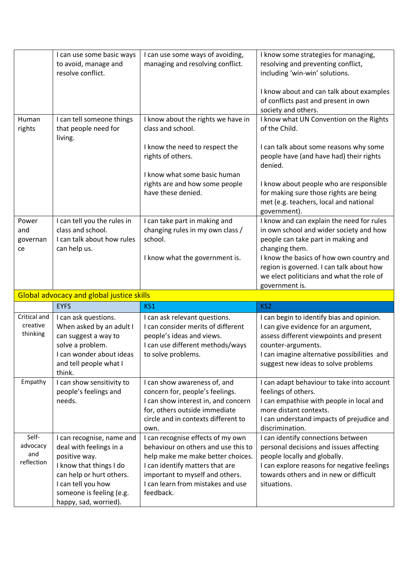|                   | I can use some basic ways<br>to avoid, manage and  | I can use some ways of avoiding,<br>managing and resolving conflict. | I know some strategies for managing,<br>resolving and preventing conflict,                                                                  |
|-------------------|----------------------------------------------------|----------------------------------------------------------------------|---------------------------------------------------------------------------------------------------------------------------------------------|
|                   | resolve conflict.                                  |                                                                      | including 'win-win' solutions.                                                                                                              |
|                   |                                                    |                                                                      | I know about and can talk about examples<br>of conflicts past and present in own<br>society and others.                                     |
| Human             | I can tell someone things                          | I know about the rights we have in                                   | I know what UN Convention on the Rights                                                                                                     |
| rights            | that people need for<br>living.                    | class and school.                                                    | of the Child.                                                                                                                               |
|                   |                                                    | I know the need to respect the<br>rights of others.                  | I can talk about some reasons why some<br>people have (and have had) their rights<br>denied.                                                |
|                   |                                                    | I know what some basic human                                         |                                                                                                                                             |
|                   |                                                    | rights are and how some people<br>have these denied.                 | I know about people who are responsible<br>for making sure those rights are being<br>met (e.g. teachers, local and national<br>government). |
| Power             | I can tell you the rules in                        | I can take part in making and                                        | I know and can explain the need for rules                                                                                                   |
| and               | class and school.                                  | changing rules in my own class /                                     | in own school and wider society and how                                                                                                     |
| governan          | I can talk about how rules                         | school.                                                              | people can take part in making and                                                                                                          |
| ce                | can help us.                                       |                                                                      | changing them.                                                                                                                              |
|                   |                                                    | I know what the government is.                                       | I know the basics of how own country and                                                                                                    |
|                   |                                                    |                                                                      | region is governed. I can talk about how<br>we elect politicians and what the role of                                                       |
|                   |                                                    |                                                                      | government is.                                                                                                                              |
|                   | <b>Global advocacy and global justice skills</b>   |                                                                      |                                                                                                                                             |
|                   | <b>EYFS</b>                                        | KS1                                                                  | KS <sub>2</sub>                                                                                                                             |
|                   |                                                    |                                                                      |                                                                                                                                             |
| Critical and      |                                                    |                                                                      |                                                                                                                                             |
| creative          | I can ask questions.<br>When asked by an adult I   | I can ask relevant questions.<br>I can consider merits of different  | I can begin to identify bias and opinion.<br>I can give evidence for an argument,                                                           |
| thinking          | can suggest a way to                               | people's ideas and views.                                            | assess different viewpoints and present                                                                                                     |
|                   | solve a problem.                                   | I can use different methods/ways                                     | counter-arguments.                                                                                                                          |
|                   | I can wonder about ideas                           | to solve problems.                                                   | I can imagine alternative possibilities and                                                                                                 |
|                   | and tell people what I                             |                                                                      | suggest new ideas to solve problems                                                                                                         |
|                   | think.                                             |                                                                      |                                                                                                                                             |
| Empathy           | I can show sensitivity to<br>people's feelings and | I can show awareness of, and<br>concern for, people's feelings.      | I can adapt behaviour to take into account<br>feelings of others.                                                                           |
|                   | needs.                                             | I can show interest in, and concern                                  | I can empathise with people in local and                                                                                                    |
|                   |                                                    | for, others outside immediate                                        | more distant contexts.                                                                                                                      |
|                   |                                                    | circle and in contexts different to                                  | I can understand impacts of prejudice and                                                                                                   |
|                   |                                                    | own.                                                                 | discrimination.                                                                                                                             |
| Self-             | I can recognise, name and                          | I can recognise effects of my own                                    | I can identify connections between                                                                                                          |
| advocacy          | deal with feelings in a                            | behaviour on others and use this to                                  | personal decisions and issues affecting                                                                                                     |
| and<br>reflection | positive way.                                      | help make me make better choices.                                    | people locally and globally.                                                                                                                |
|                   | I know that things I do                            | I can identify matters that are                                      | I can explore reasons for negative feelings                                                                                                 |
|                   | can help or hurt others.                           | important to myself and others.                                      | towards others and in new or difficult                                                                                                      |
|                   | I can tell you how<br>someone is feeling (e.g.     | I can learn from mistakes and use<br>feedback.                       | situations.                                                                                                                                 |